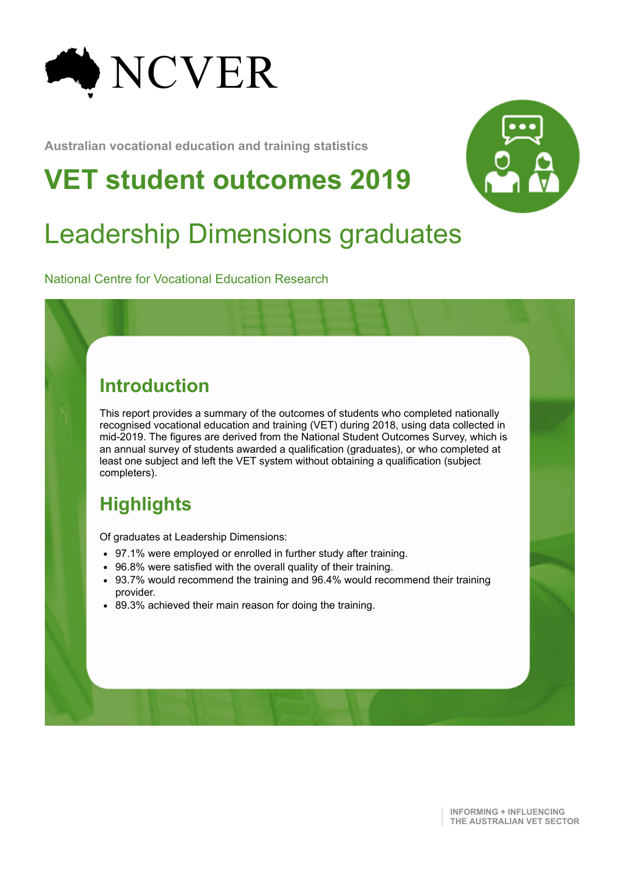

**Australian vocational education and training statistics**

# **VET student outcomes 2019**



# Leadership Dimensions graduates

National Centre for Vocational Education Research

#### **Introduction**

This report provides a summary of the outcomes of students who completed nationally recognised vocational education and training (VET) during 2018, using data collected in mid-2019. The figures are derived from the National Student Outcomes Survey, which is an annual survey of students awarded a qualification (graduates), or who completed at least one subject and left the VET system without obtaining a qualification (subject completers).

### **Highlights**

Of graduates at Leadership Dimensions:

- 97.1% were employed or enrolled in further study after training.
- 96.8% were satisfied with the overall quality of their training.
- 93.7% would recommend the training and 96.4% would recommend their training provider.
- 89.3% achieved their main reason for doing the training.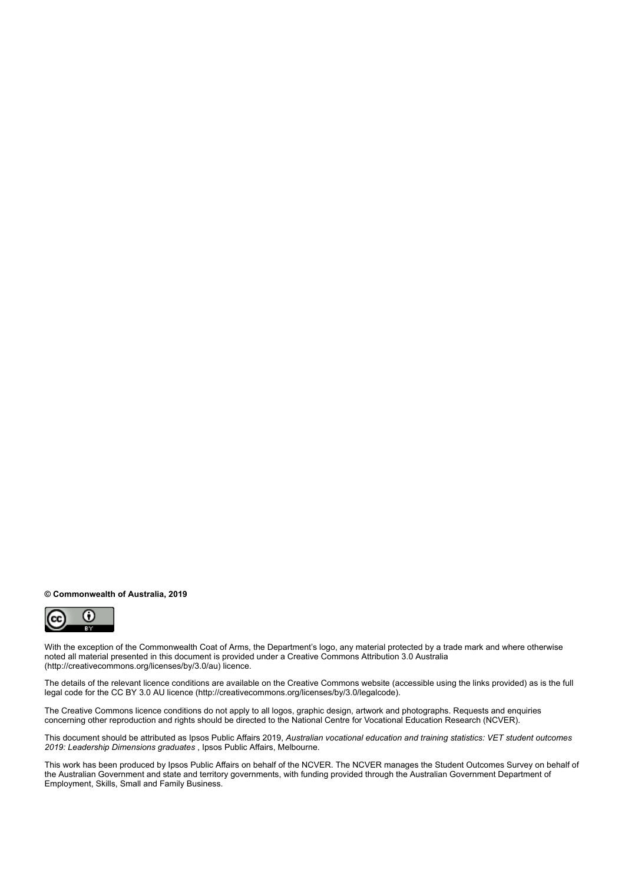#### **© Commonwealth of Australia, 2019**



With the exception of the Commonwealth Coat of Arms, the Department's logo, any material protected by a trade mark and where otherwise noted all material presented in this document is provided under a Creative Commons Attribution 3.0 Australia (http://creativecommons.org/licenses/by/3.0/au) licence.

The details of the relevant licence conditions are available on the Creative Commons website (accessible using the links provided) as is the full legal code for the CC BY 3.0 AU licence (http://creativecommons.org/licenses/by/3.0/legalcode).

The Creative Commons licence conditions do not apply to all logos, graphic design, artwork and photographs. Requests and enquiries concerning other reproduction and rights should be directed to the National Centre for Vocational Education Research (NCVER).

This document should be attributed as Ipsos Public Affairs 2019, *Australian vocational education and training statistics: VET student outcomes 2019: Leadership Dimensions graduates* , Ipsos Public Affairs, Melbourne.

This work has been produced by Ipsos Public Affairs on behalf of the NCVER. The NCVER manages the Student Outcomes Survey on behalf of the Australian Government and state and territory governments, with funding provided through the Australian Government Department of Employment, Skills, Small and Family Business.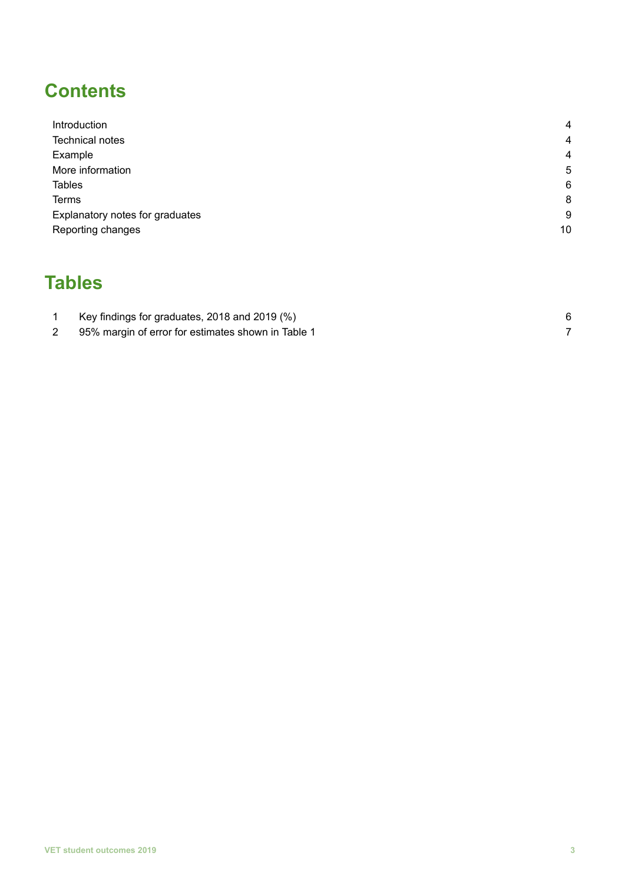## **Contents**

| Introduction                    | $\overline{4}$ |
|---------------------------------|----------------|
| <b>Technical notes</b>          | $\overline{4}$ |
| Example                         | $\overline{4}$ |
| More information                | 5              |
| <b>Tables</b>                   | 6              |
| <b>Terms</b>                    | 8              |
| Explanatory notes for graduates | 9              |
| Reporting changes               | 10             |

### **Tables**

| Key findings for graduates, 2018 and 2019 (%)      |  |
|----------------------------------------------------|--|
| 95% margin of error for estimates shown in Table 1 |  |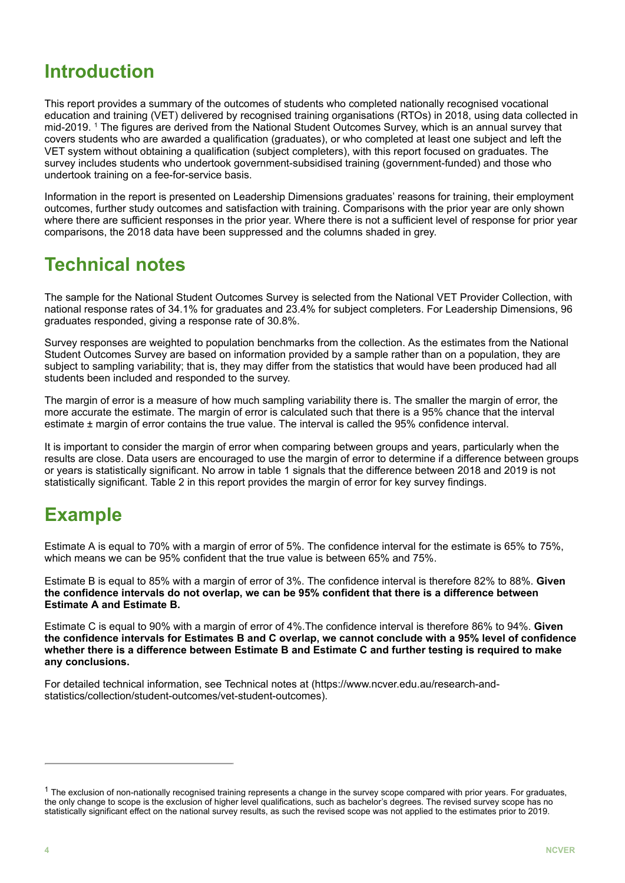#### **Introduction**

This report provides a summary of the outcomes of students who completed nationally recognised vocational education and training (VET) delivered by recognised training organisations (RTOs) in 2018, using data collected in mid-2019. <sup>1</sup> The figures are derived from the National Student Outcomes Survey, which is an annual survey that covers students who are awarded a qualification (graduates), or who completed at least one subject and left the VET system without obtaining a qualification (subject completers), with this report focused on graduates. The survey includes students who undertook government-subsidised training (government-funded) and those who undertook training on a fee-for-service basis.

Information in the report is presented on Leadership Dimensions graduates' reasons for training, their employment outcomes, further study outcomes and satisfaction with training. Comparisons with the prior year are only shown where there are sufficient responses in the prior year. Where there is not a sufficient level of response for prior year comparisons, the 2018 data have been suppressed and the columns shaded in grey.

#### **Technical notes**

The sample for the National Student Outcomes Survey is selected from the National VET Provider Collection, with national response rates of 34.1% for graduates and 23.4% for subject completers. For Leadership Dimensions, 96 graduates responded, giving a response rate of 30.8%.

Survey responses are weighted to population benchmarks from the collection. As the estimates from the National Student Outcomes Survey are based on information provided by a sample rather than on a population, they are subject to sampling variability; that is, they may differ from the statistics that would have been produced had all students been included and responded to the survey.

The margin of error is a measure of how much sampling variability there is. The smaller the margin of error, the more accurate the estimate. The margin of error is calculated such that there is a 95% chance that the interval estimate ± margin of error contains the true value. The interval is called the 95% confidence interval.

It is important to consider the margin of error when comparing between groups and years, particularly when the results are close. Data users are encouraged to use the margin of error to determine if a difference between groups or years is statistically significant. No arrow in table 1 signals that the difference between 2018 and 2019 is not statistically significant. Table 2 in this report provides the margin of error for key survey findings.

### **Example**

Estimate A is equal to 70% with a margin of error of 5%. The confidence interval for the estimate is 65% to 75%, which means we can be 95% confident that the true value is between 65% and 75%.

Estimate B is equal to 85% with a margin of error of 3%. The confidence interval is therefore 82% to 88%. **Given the confidence intervals do not overlap, we can be 95% confident that there is a difference between Estimate A and Estimate B.**

Estimate C is equal to 90% with a margin of error of 4%.The confidence interval is therefore 86% to 94%. **Given** the confidence intervals for Estimates B and C overlap, we cannot conclude with a 95% level of confidence whether there is a difference between Estimate B and Estimate C and further testing is required to make **any conclusions.**

For detailed technical information, see Technical notes at (https://www.ncver.edu.au/research-andstatistics/collection/student-outcomes/vet-student-outcomes).

 $1$  The exclusion of non-nationally recognised training represents a change in the survey scope compared with prior years. For graduates, the only change to scope is the exclusion of higher level qualifications, such as bachelor's degrees. The revised survey scope has no statistically significant effect on the national survey results, as such the revised scope was not applied to the estimates prior to 2019.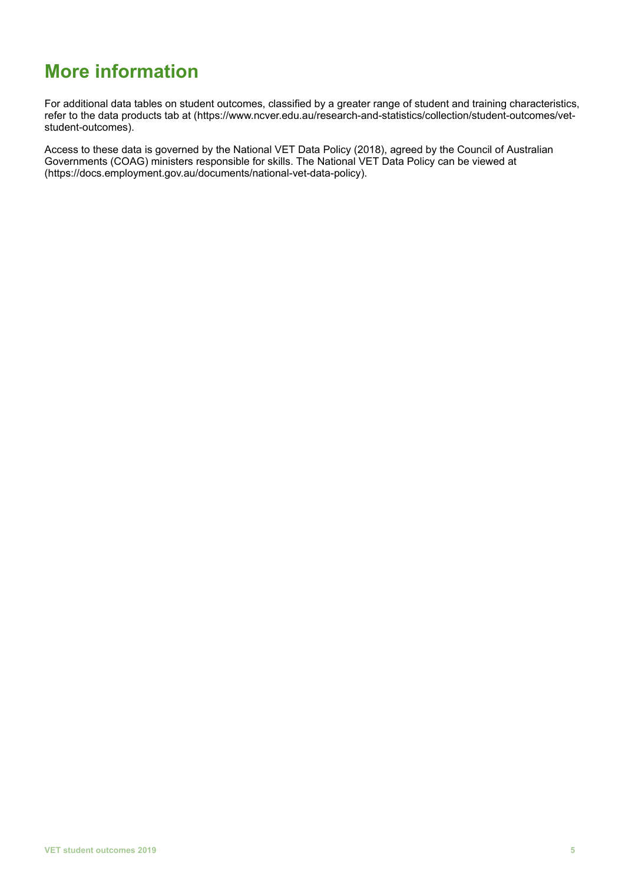## **More information**

For additional data tables on student outcomes, classified by a greater range of student and training characteristics, refer to the data products tab at (https://www.ncver.edu.au/research-and-statistics/collection/student-outcomes/vetstudent-outcomes).

Access to these data is governed by the National VET Data Policy (2018), agreed by the Council of Australian Governments (COAG) ministers responsible for skills. The National VET Data Policy can be viewed at (https://docs.employment.gov.au/documents/national-vet-data-policy).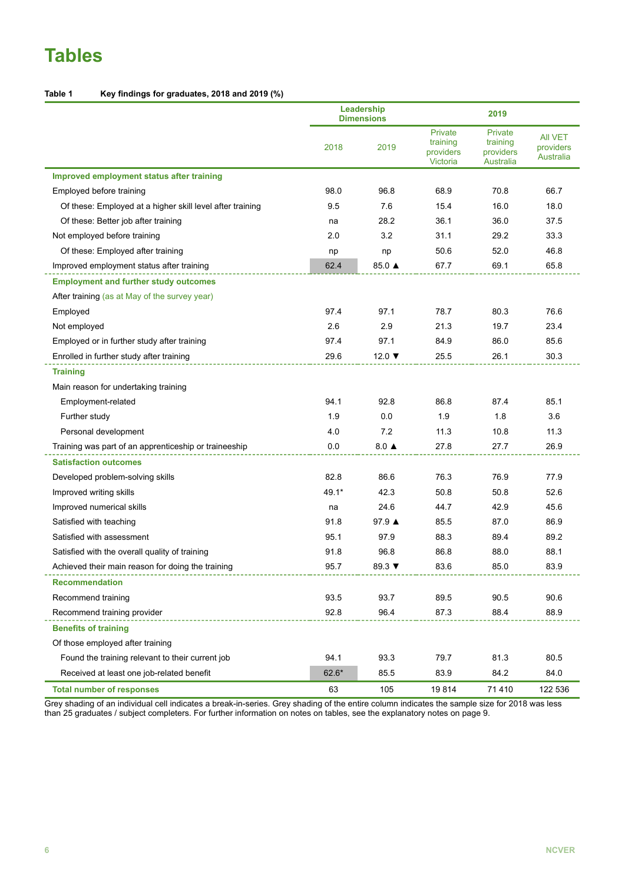## **Tables**

#### **Table 1 Key findings for graduates, 2018 and 2019 (%)**

|                                                           |         | Leadership<br><b>Dimensions</b> |                                              | 2019                                                 |                                          |  |
|-----------------------------------------------------------|---------|---------------------------------|----------------------------------------------|------------------------------------------------------|------------------------------------------|--|
|                                                           | 2018    | 2019                            | Private<br>training<br>providers<br>Victoria | Private<br>training<br>providers<br><b>Australia</b> | <b>AII VET</b><br>providers<br>Australia |  |
| Improved employment status after training                 |         |                                 |                                              |                                                      |                                          |  |
| Employed before training                                  | 98.0    | 96.8                            | 68.9                                         | 70.8                                                 | 66.7                                     |  |
| Of these: Employed at a higher skill level after training | 9.5     | 7.6                             | 15.4                                         | 16.0                                                 | 18.0                                     |  |
| Of these: Better job after training                       | na      | 28.2                            | 36.1                                         | 36.0                                                 | 37.5                                     |  |
| Not employed before training                              | 2.0     | 3.2                             | 31.1                                         | 29.2                                                 | 33.3                                     |  |
| Of these: Employed after training                         | np      | np                              | 50.6                                         | 52.0                                                 | 46.8                                     |  |
| Improved employment status after training                 | 62.4    | 85.0 ▲                          | 67.7                                         | 69.1                                                 | 65.8                                     |  |
| <b>Employment and further study outcomes</b>              |         |                                 |                                              |                                                      |                                          |  |
| After training (as at May of the survey year)             |         |                                 |                                              |                                                      |                                          |  |
| Employed                                                  | 97.4    | 97.1                            | 78.7                                         | 80.3                                                 | 76.6                                     |  |
| Not employed                                              | 2.6     | 2.9                             | 21.3                                         | 19.7                                                 | 23.4                                     |  |
| Employed or in further study after training               | 97.4    | 97.1                            | 84.9                                         | 86.0                                                 | 85.6                                     |  |
| Enrolled in further study after training                  | 29.6    | 12.0 $\blacktriangledown$       | 25.5                                         | 26.1                                                 | 30.3                                     |  |
| <b>Training</b>                                           |         |                                 |                                              |                                                      |                                          |  |
| Main reason for undertaking training                      |         |                                 |                                              |                                                      |                                          |  |
| Employment-related                                        | 94.1    | 92.8                            | 86.8                                         | 87.4                                                 | 85.1                                     |  |
| Further study                                             | 1.9     | 0.0                             | 1.9                                          | 1.8                                                  | 3.6                                      |  |
| Personal development                                      | 4.0     | 7.2                             | 11.3                                         | 10.8                                                 | 11.3                                     |  |
| Training was part of an apprenticeship or traineeship     | 0.0     | $8.0 \triangle$                 | 27.8                                         | 27.7                                                 | 26.9                                     |  |
| <b>Satisfaction outcomes</b>                              |         |                                 |                                              |                                                      |                                          |  |
| Developed problem-solving skills                          | 82.8    | 86.6                            | 76.3                                         | 76.9                                                 | 77.9                                     |  |
| Improved writing skills                                   | 49.1*   | 42.3                            | 50.8                                         | 50.8                                                 | 52.6                                     |  |
| Improved numerical skills                                 | na      | 24.6                            | 44.7                                         | 42.9                                                 | 45.6                                     |  |
| Satisfied with teaching                                   | 91.8    | 97.9 ▲                          | 85.5                                         | 87.0                                                 | 86.9                                     |  |
| Satisfied with assessment                                 | 95.1    | 97.9                            | 88.3                                         | 89.4                                                 | 89.2                                     |  |
| Satisfied with the overall quality of training            | 91.8    | 96.8                            | 86.8                                         | 88.0                                                 | 88.1                                     |  |
| Achieved their main reason for doing the training         | 95.7    | 89.3 $\blacktriangledown$       | 83.6                                         | 85.0                                                 | 83.9                                     |  |
| <b>Recommendation</b>                                     |         |                                 |                                              |                                                      |                                          |  |
| Recommend training                                        | 93.5    | 93.7                            | 89.5                                         | 90.5                                                 | 90.6                                     |  |
| Recommend training provider                               | 92.8    | 96.4                            | 87.3                                         | 88.4                                                 | 88.9                                     |  |
| <b>Benefits of training</b>                               |         |                                 |                                              |                                                      |                                          |  |
| Of those employed after training                          |         |                                 |                                              |                                                      |                                          |  |
| Found the training relevant to their current job          | 94.1    | 93.3                            | 79.7                                         | 81.3                                                 | 80.5                                     |  |
| Received at least one job-related benefit                 | $62.6*$ | 85.5                            | 83.9                                         | 84.2                                                 | 84.0                                     |  |
| <b>Total number of responses</b>                          | 63      | 105                             | 19814                                        | 71 410                                               | 122 536                                  |  |

Grey shading of an individual cell indicates a break-in-series. Grey shading of the entire column indicates the sample size for 2018 was less than 25 graduates / subject completers. For further information on notes on tables, see the explanatory notes on page 9.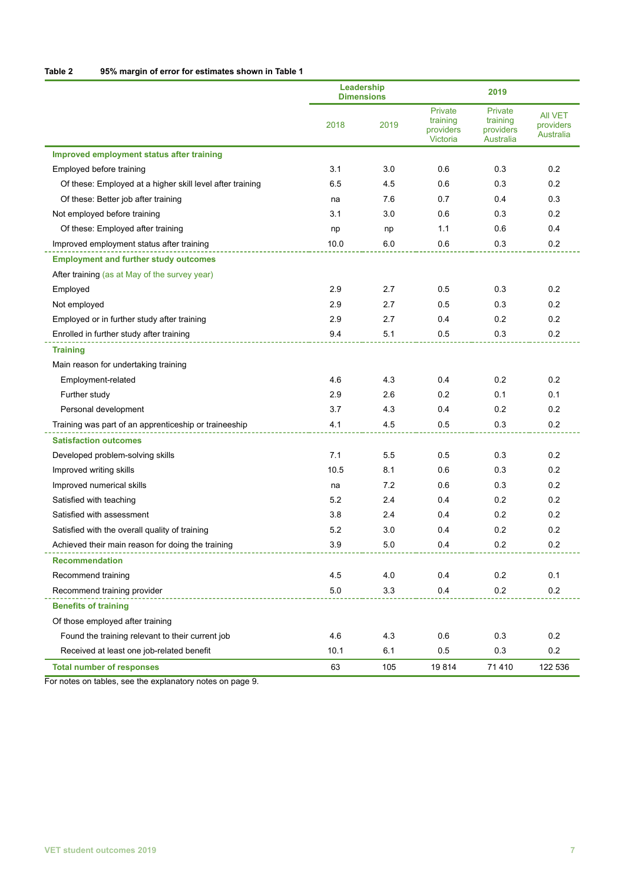| Table 2 | 95% margin of error for estimates shown in Table 1 |
|---------|----------------------------------------------------|
|---------|----------------------------------------------------|

|                                                           | Leadership<br><b>Dimensions</b> |      | 2019                                         |                                                      |                                          |
|-----------------------------------------------------------|---------------------------------|------|----------------------------------------------|------------------------------------------------------|------------------------------------------|
|                                                           | 2018                            | 2019 | Private<br>training<br>providers<br>Victoria | Private<br>training<br>providers<br><b>Australia</b> | <b>AII VET</b><br>providers<br>Australia |
| Improved employment status after training                 |                                 |      |                                              |                                                      |                                          |
| Employed before training                                  | 3.1                             | 3.0  | 0.6                                          | 0.3                                                  | 0.2                                      |
| Of these: Employed at a higher skill level after training | 6.5                             | 4.5  | 0.6                                          | 0.3                                                  | 0.2                                      |
| Of these: Better job after training                       | na                              | 7.6  | 0.7                                          | 0.4                                                  | 0.3                                      |
| Not employed before training                              | 3.1                             | 3.0  | 0.6                                          | 0.3                                                  | 0.2                                      |
| Of these: Employed after training                         | np                              | np   | 1.1                                          | 0.6                                                  | 0.4                                      |
| Improved employment status after training                 | 10.0                            | 6.0  | 0.6                                          | 0.3                                                  | 0.2                                      |
| <b>Employment and further study outcomes</b>              |                                 |      |                                              |                                                      |                                          |
| After training (as at May of the survey year)             |                                 |      |                                              |                                                      |                                          |
| Employed                                                  | 2.9                             | 2.7  | 0.5                                          | 0.3                                                  | 0.2                                      |
| Not employed                                              | 2.9                             | 2.7  | 0.5                                          | 0.3                                                  | 0.2                                      |
| Employed or in further study after training               | 2.9                             | 2.7  | 0.4                                          | 0.2                                                  | 0.2                                      |
| Enrolled in further study after training                  | 9.4                             | 5.1  | 0.5                                          | 0.3                                                  | 0.2                                      |
| <b>Training</b>                                           |                                 |      |                                              |                                                      |                                          |
| Main reason for undertaking training                      |                                 |      |                                              |                                                      |                                          |
| Employment-related                                        | 4.6                             | 4.3  | 0.4                                          | 0.2                                                  | 0.2                                      |
| Further study                                             | 2.9                             | 2.6  | 0.2                                          | 0.1                                                  | 0.1                                      |
| Personal development                                      | 3.7                             | 4.3  | 0.4                                          | 0.2                                                  | 0.2                                      |
| Training was part of an apprenticeship or traineeship     | 4.1                             | 4.5  | 0.5                                          | 0.3                                                  | 0.2                                      |
| <b>Satisfaction outcomes</b>                              |                                 |      |                                              |                                                      |                                          |
| Developed problem-solving skills                          | 7.1                             | 5.5  | 0.5                                          | 0.3                                                  | 0.2                                      |
| Improved writing skills                                   | 10.5                            | 8.1  | 0.6                                          | 0.3                                                  | 0.2                                      |
| Improved numerical skills                                 | na                              | 7.2  | 0.6                                          | 0.3                                                  | 0.2                                      |
| Satisfied with teaching                                   | 5.2                             | 2.4  | 0.4                                          | 0.2                                                  | 0.2                                      |
| Satisfied with assessment                                 | 3.8                             | 2.4  | 0.4                                          | 0.2                                                  | 0.2                                      |
| Satisfied with the overall quality of training            | 5.2                             | 3.0  | 0.4                                          | 0.2                                                  | 0.2                                      |
| Achieved their main reason for doing the training         | 3.9                             | 5.0  | 0.4                                          | 0.2                                                  | 0.2                                      |
| <b>Recommendation</b>                                     |                                 |      |                                              |                                                      |                                          |
| Recommend training                                        | 4.5                             | 4.0  | 0.4                                          | 0.2                                                  | 0.1                                      |
| Recommend training provider                               | 5.0                             | 3.3  | 0.4                                          | 0.2                                                  | 0.2                                      |
| <b>Benefits of training</b>                               |                                 |      |                                              |                                                      |                                          |
| Of those employed after training                          |                                 |      |                                              |                                                      |                                          |
| Found the training relevant to their current job          | 4.6                             | 4.3  | 0.6                                          | 0.3                                                  | 0.2                                      |
| Received at least one job-related benefit                 | 10.1                            | 6.1  | 0.5                                          | 0.3                                                  | 0.2                                      |
| <b>Total number of responses</b>                          | 63                              | 105  | 19814                                        | 71 410                                               | 122 536                                  |

For notes on tables, see the explanatory notes on page 9.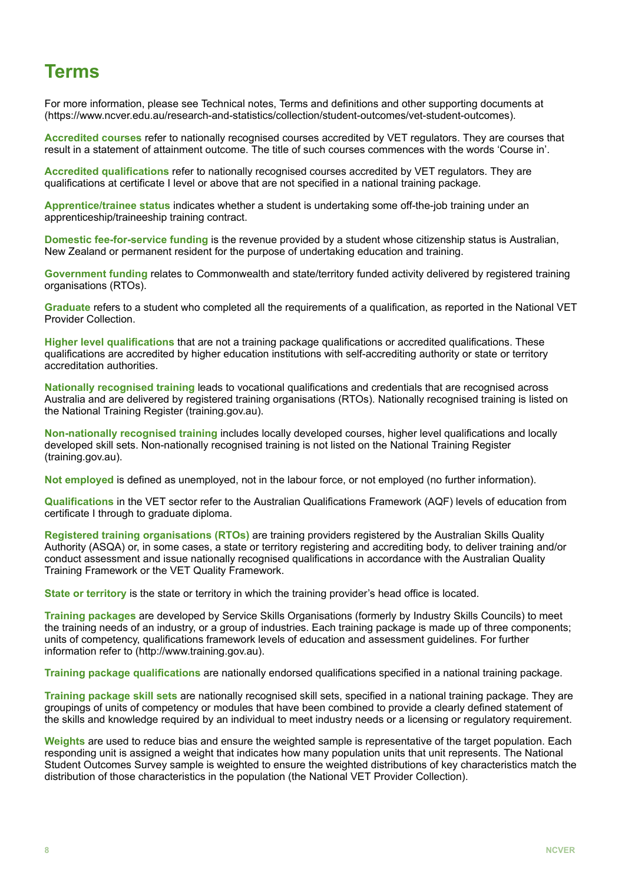#### **Terms**

For more information, please see Technical notes, Terms and definitions and other supporting documents at (https://www.ncver.edu.au/research-and-statistics/collection/student-outcomes/vet-student-outcomes).

**Accredited courses** refer to nationally recognised courses accredited by VET regulators. They are courses that result in a statement of attainment outcome. The title of such courses commences with the words 'Course in'.

**Accredited qualifications** refer to nationally recognised courses accredited by VET regulators. They are qualifications at certificate I level or above that are not specified in a national training package.

**Apprentice/trainee status** indicates whether a student is undertaking some off-the-job training under an apprenticeship/traineeship training contract.

**Domestic fee-for-service funding** is the revenue provided by a student whose citizenship status is Australian, New Zealand or permanent resident for the purpose of undertaking education and training.

**Government funding** relates to Commonwealth and state/territory funded activity delivered by registered training organisations (RTOs).

**Graduate** refers to a student who completed all the requirements of a qualification, as reported in the National VET Provider Collection.

**Higher level qualifications** that are not a training package qualifications or accredited qualifications. These qualifications are accredited by higher education institutions with self-accrediting authority or state or territory accreditation authorities.

**Nationally recognised training** leads to vocational qualifications and credentials that are recognised across Australia and are delivered by registered training organisations (RTOs). Nationally recognised training is listed on the National Training Register (training.gov.au).

**Non-nationally recognised training** includes locally developed courses, higher level qualifications and locally developed skill sets. Non-nationally recognised training is not listed on the National Training Register (training.gov.au).

**Not employed** is defined as unemployed, not in the labour force, or not employed (no further information).

**Qualifications** in the VET sector refer to the Australian Qualifications Framework (AQF) levels of education from certificate I through to graduate diploma.

**Registered training organisations (RTOs)** are training providers registered by the Australian Skills Quality Authority (ASQA) or, in some cases, a state or territory registering and accrediting body, to deliver training and/or conduct assessment and issue nationally recognised qualifications in accordance with the Australian Quality Training Framework or the VET Quality Framework.

**State or territory** is the state or territory in which the training provider's head office is located.

**Training packages** are developed by Service Skills Organisations (formerly by Industry Skills Councils) to meet the training needs of an industry, or a group of industries. Each training package is made up of three components; units of competency, qualifications framework levels of education and assessment guidelines. For further information refer to (http://www.training.gov.au).

**Training package qualifications** are nationally endorsed qualifications specified in a national training package.

**Training package skill sets** are nationally recognised skill sets, specified in a national training package. They are groupings of units of competency or modules that have been combined to provide a clearly defined statement of the skills and knowledge required by an individual to meet industry needs or a licensing or regulatory requirement.

**Weights** are used to reduce bias and ensure the weighted sample is representative of the target population. Each responding unit is assigned a weight that indicates how many population units that unit represents. The National Student Outcomes Survey sample is weighted to ensure the weighted distributions of key characteristics match the distribution of those characteristics in the population (the National VET Provider Collection).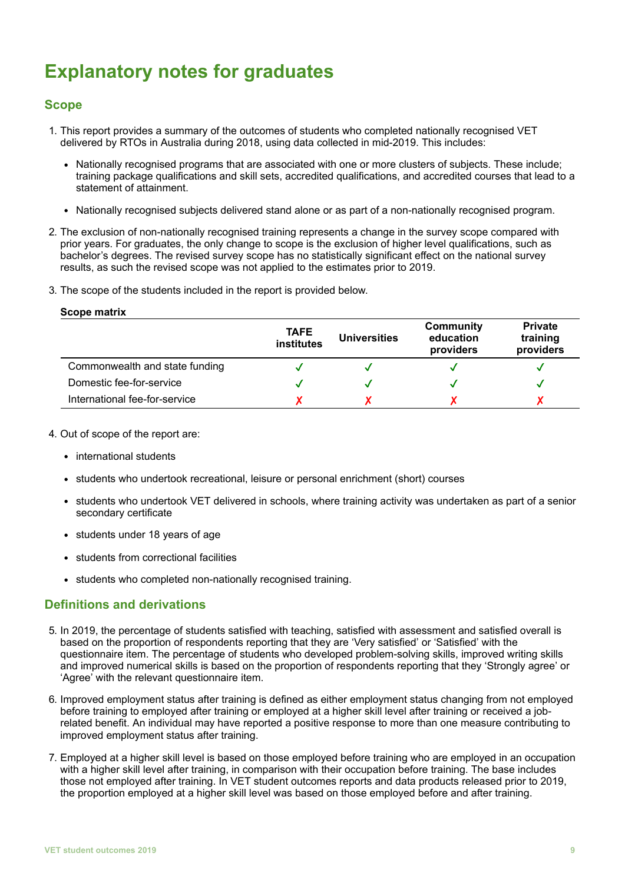## **Explanatory notes for graduates**

#### **Scope**

- 1. This report provides a summary of the outcomes of students who completed nationally recognised VET delivered by RTOs in Australia during 2018, using data collected in mid-2019. This includes:
	- Nationally recognised programs that are associated with one or more clusters of subjects. These include; training package qualifications and skill sets, accredited qualifications, and accredited courses that lead to a statement of attainment.
	- Nationally recognised subjects delivered stand alone or as part of a non-nationally recognised program.
- 2. The exclusion of non-nationally recognised training represents a change in the survey scope compared with prior years. For graduates, the only change to scope is the exclusion of higher level qualifications, such as bachelor's degrees. The revised survey scope has no statistically significant effect on the national survey results, as such the revised scope was not applied to the estimates prior to 2019.
- 3. The scope of the students included in the report is provided below.

| Scope matrix |  |
|--------------|--|
|--------------|--|

|                                | <b>TAFE</b><br>institutes | <b>Universities</b> | Community<br>education<br>providers | <b>Private</b><br>training<br>providers |
|--------------------------------|---------------------------|---------------------|-------------------------------------|-----------------------------------------|
| Commonwealth and state funding |                           |                     |                                     |                                         |
| Domestic fee-for-service       |                           |                     |                                     |                                         |
| International fee-for-service  |                           |                     |                                     |                                         |

- 4. Out of scope of the report are:
	- international students
	- students who undertook recreational, leisure or personal enrichment (short) courses
	- students who undertook VET delivered in schools, where training activity was undertaken as part of a senior secondary certificate
	- students under 18 years of age
	- students from correctional facilities
	- students who completed non-nationally recognised training.

#### **Definitions and derivations**

- 5. In 2019, the percentage of students satisfied with teaching, satisfied with assessment and satisfied overall is based on the proportion of respondents reporting that they are 'Very satisfied' or 'Satisfied' with the questionnaire item. The percentage of students who developed problem-solving skills, improved writing skills and improved numerical skills is based on the proportion of respondents reporting that they 'Strongly agree' or 'Agree' with the relevant questionnaire item.
- 6. Improved employment status after training is defined as either employment status changing from not employed before training to employed after training or employed at a higher skill level after training or received a jobrelated benefit. An individual may have reported a positive response to more than one measure contributing to improved employment status after training.
- 7. Employed at a higher skill level is based on those employed before training who are employed in an occupation with a higher skill level after training, in comparison with their occupation before training. The base includes those not employed after training. In VET student outcomes reports and data products released prior to 2019, the proportion employed at a higher skill level was based on those employed before and after training.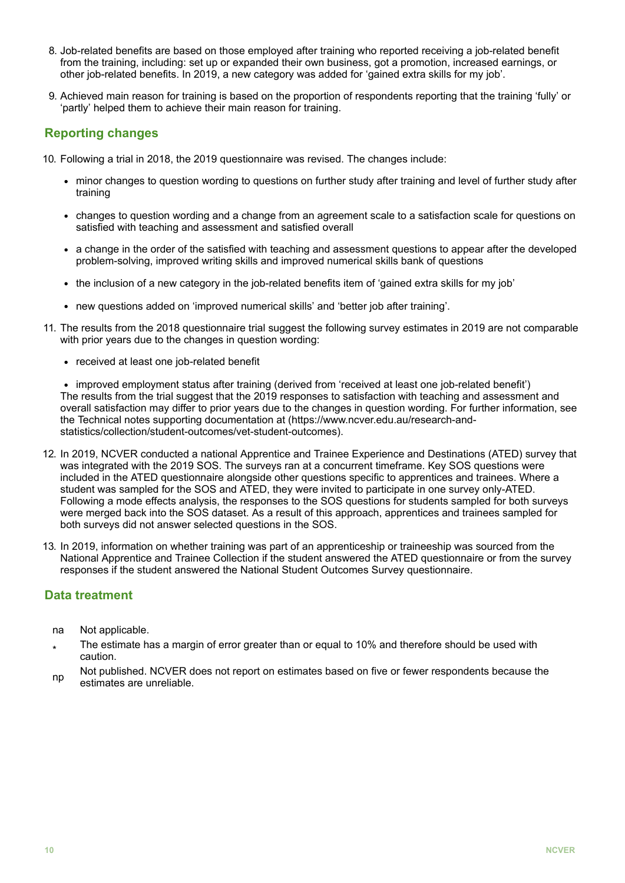- 8. Job-related benefits are based on those employed after training who reported receiving a job-related benefit from the training, including: set up or expanded their own business, got a promotion, increased earnings, or other job-related benefits. In 2019, a new category was added for 'gained extra skills for my job'.
- 9. Achieved main reason for training is based on the proportion of respondents reporting that the training 'fully' or 'partly' helped them to achieve their main reason for training.

#### **Reporting changes**

- 10. Following a trial in 2018, the 2019 questionnaire was revised. The changes include:
	- minor changes to question wording to questions on further study after training and level of further study after training
	- changes to question wording and a change from an agreement scale to a satisfaction scale for questions on satisfied with teaching and assessment and satisfied overall
	- a change in the order of the satisfied with teaching and assessment questions to appear after the developed problem-solving, improved writing skills and improved numerical skills bank of questions
	- the inclusion of a new category in the job-related benefits item of 'gained extra skills for my job'
	- new questions added on 'improved numerical skills' and 'better job after training'.
- 11. The results from the 2018 questionnaire trial suggest the following survey estimates in 2019 are not comparable with prior years due to the changes in question wording:
	- received at least one job-related benefit

• improved employment status after training (derived from 'received at least one job-related benefit') The results from the trial suggest that the 2019 responses to satisfaction with teaching and assessment and overall satisfaction may differ to prior years due to the changes in question wording. For further information, see the Technical notes supporting documentation at (https://www.ncver.edu.au/research-andstatistics/collection/student-outcomes/vet-student-outcomes).

- 12. In 2019, NCVER conducted a national Apprentice and Trainee Experience and Destinations (ATED) survey that was integrated with the 2019 SOS. The surveys ran at a concurrent timeframe. Key SOS questions were included in the ATED questionnaire alongside other questions specific to apprentices and trainees. Where a student was sampled for the SOS and ATED, they were invited to participate in one survey only-ATED. Following a mode effects analysis, the responses to the SOS questions for students sampled for both surveys were merged back into the SOS dataset. As a result of this approach, apprentices and trainees sampled for both surveys did not answer selected questions in the SOS.
- 13. In 2019, information on whether training was part of an apprenticeship or traineeship was sourced from the National Apprentice and Trainee Collection if the student answered the ATED questionnaire or from the survey responses if the student answered the National Student Outcomes Survey questionnaire.

#### **Data treatment**

- na Not applicable.
- \* The estimate has a margin of error greater than or equal to 10% and therefore should be used with caution.
- np Not published. NCVER does not report on estimates based on five or fewer respondents because the estimates are unreliable.